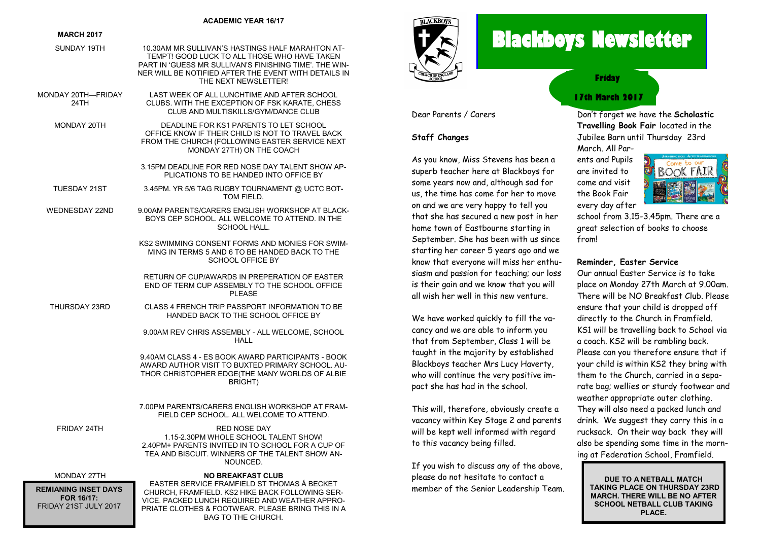#### **ACADEMIC YEAR 16/17**

#### **MARCH 2017**

- SUNDAY 19TH 10.30AM MR SULLIVAN'S HASTINGS HALF MARAHTON AT-TEMPT! GOOD LUCK TO ALL THOSE WHO HAVE TAKEN PART IN 'GUESS MR SULLIVAN'S FINISHING TIME'. THE WIN-NER WILL BE NOTIFIED AFTER THE EVENT WITH DETAILS IN THE NEXT NEWSLETTER! MONDAY 20TH—FRIDAY LAST WEEK OF ALL LUNCHTIME AND AFTER SCHOOL
	- 24TH CLUBS. WITH THE EXCEPTION OF ESK KARATE, CHESS. CLUB AND MULTISKILLS/GYM/DANCE CLUB
	- MONDAY 20TH DEADLINE FOR KS1 PARENTS TO LET SCHOOL OFFICE KNOW IF THEIR CHILD IS NOT TO TRAVEL BACK FROM THE CHURCH (FOLLOWING EASTER SERVICE NEXT MONDAY 27TH) ON THE COACH
		- 3.15PM DEADLINE FOR RED NOSE DAY TALENT SHOW AP-PLICATIONS TO BE HANDED INTO OFFICE BY
	- TUESDAY 21ST 3.45PM. YR 5/6 TAG RUGBY TOURNAMENT @ UCTC BOT-TOM FIELD.
	- WEDNESDAY 22ND 9.00AM PARENTS/CARERS ENGLISH WORKSHOP AT BLACK-BOYS CEP SCHOOL. ALL WELCOME TO ATTEND. IN THE SCHOOL HALL.
		- KS2 SWIMMING CONSENT FORMS AND MONIES FOR SWIM-MING IN TERMS 5 AND 6 TO BE HANDED BACK TO THE SCHOOL OFFICE BY
		- RETURN OF CUP/AWARDS IN PREPERATION OF EASTER END OF TERM CUP ASSEMBLY TO THE SCHOOL OFFICE **PLEASE**
	- THURSDAY 23RD CLASS 4 FRENCH TRIP PASSPORT INFORMATION TO BE HANDED BACK TO THE SCHOOL OFFICE BY
		- 9.00AM REV CHRIS ASSEMBLY ALL WELCOME, SCHOOL HALL

9.40AM CLASS 4 - ES BOOK AWARD PARTICIPANTS - BOOK AWARD AUTHOR VISIT TO BUXTED PRIMARY SCHOOL. AU-THOR CHRISTOPHER EDGE(THE MANY WORLDS OF ALBIE BRIGHT)

7.00PM PARENTS/CARERS ENGLISH WORKSHOP AT FRAM-FIELD CEP SCHOOL. ALL WELCOME TO ATTEND.

FRIDAY 24TH **RED NOSE DAY** 1.15-2.30PM WHOLE SCHOOL TALENT SHOW! 2.40PM+ PARENTS INVITED IN TO SCHOOL FOR A CUP OF TEA AND BISCUIT. WINNERS OF THE TALENT SHOW AN-NOUNCED.

**REMIANING INSET DAYS FOR 16/17:** FRIDAY 21ST JULY 2017

#### MONDAY 27TH **NO BREAKFAST CLUB**

EASTER SERVICE FRAMFIELD ST THOMAS Á BECKET CHURCH, FRAMFIELD. KS2 HIKE BACK FOLLOWING SER-VICE. PACKED LUNCH REQUIRED AND WEATHER APPRO-PRIATE CLOTHES & FOOTWEAR. PLEASE BRING THIS IN A BAG TO THE CHURCH.



Dear Parents / Carers

As you know, Miss Stevens has been a superb teacher here at Blackboys for some years now and, although sad for us, the time has come for her to move on and we are very happy to tell you that she has secured a new post in her home town of Eastbourne starting in September. She has been with us since starting her career 5 years ago and we know that everyone will miss her enthusiasm and passion for teaching; our loss is their gain and we know that you will all wish her well in this new venture.

We have worked quickly to fill the vacancy and we are able to inform you that from September, Class 1 will be taught in the majority by established Blackboys teacher Mrs Lucy Haverty, who will continue the very positive impact she has had in the school.

This will, therefore, obviously create a vacancy within Key Stage 2 and parents will be kept well informed with regard

If you wish to discuss any of the above, please do not hesitate to contact a member of the Senior Leadership Team.

to this vacancy being filled.

**Staff Changes**

# **Blackboys Newsletter**

**Friday**

# **17th March 2017**

Don't forget we have the **Scholastic Travelling Book Fair** located in the Jubilee Barn until Thursday 23rd March. All Par-

ents and Pupils are invited to come and visit the Book Fair every day after



school from 3.15-3.45pm. There are a great selection of books to choose from!

#### **Reminder, Easter Service**

Our annual Easter Service is to take place on Monday 27th March at 9.00am. There will be NO Breakfast Club. Please ensure that your child is dropped off directly to the Church in Framfield. KS1 will be travelling back to School via a coach. KS2 will be rambling back. Please can you therefore ensure that if your child is within KS2 they bring with them to the Church, carried in a separate bag; wellies or sturdy footwear and weather appropriate outer clothing. They will also need a packed lunch and drink. We suggest they carry this in a rucksack. On their way back they will also be spending some time in the morning at Federation School, Framfield.

**DUE TO A NETBALL MATCH TAKING PLACE ON THURSDAY 23RD MARCH. THERE WILL BE NO AFTER SCHOOL NETBALL CLUB TAKING PLACE.**